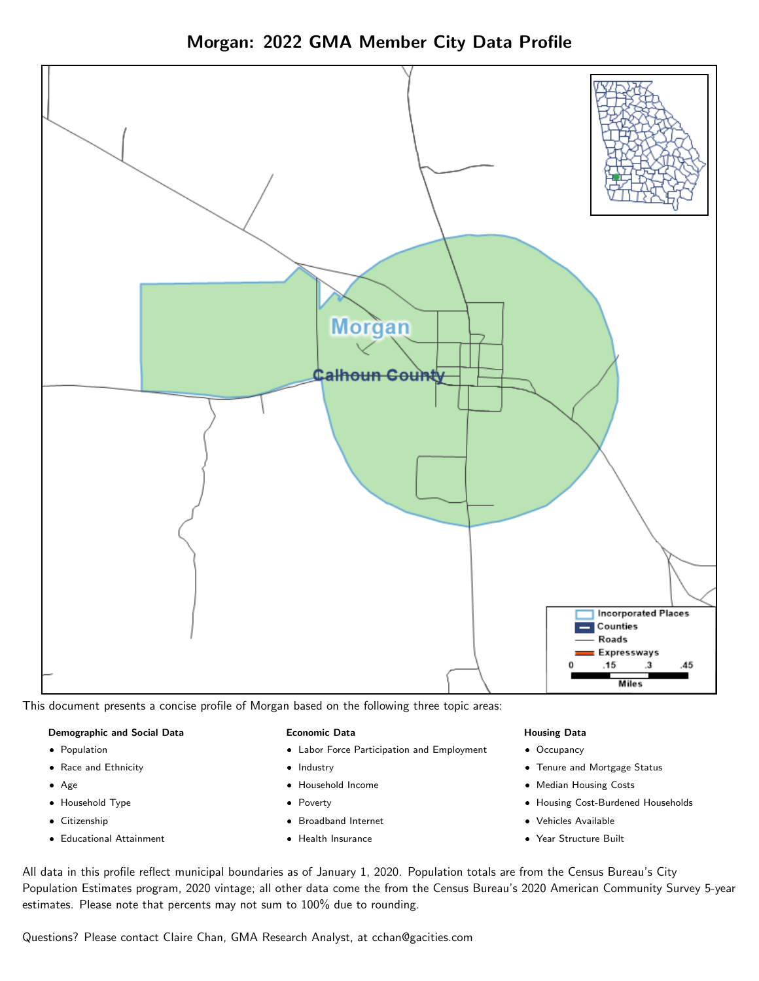



This document presents a concise profile of Morgan based on the following three topic areas:

#### Demographic and Social Data

- **•** Population
- Race and Ethnicity
- Age
- Household Type
- **Citizenship**
- Educational Attainment

#### Economic Data

- Labor Force Participation and Employment
- Industry
- Household Income
- Poverty
- Broadband Internet
- Health Insurance

#### Housing Data

- Occupancy
- Tenure and Mortgage Status
- Median Housing Costs
- Housing Cost-Burdened Households
- Vehicles Available
- Year Structure Built

All data in this profile reflect municipal boundaries as of January 1, 2020. Population totals are from the Census Bureau's City Population Estimates program, 2020 vintage; all other data come the from the Census Bureau's 2020 American Community Survey 5-year estimates. Please note that percents may not sum to 100% due to rounding.

Questions? Please contact Claire Chan, GMA Research Analyst, at [cchan@gacities.com.](mailto:cchan@gacities.com)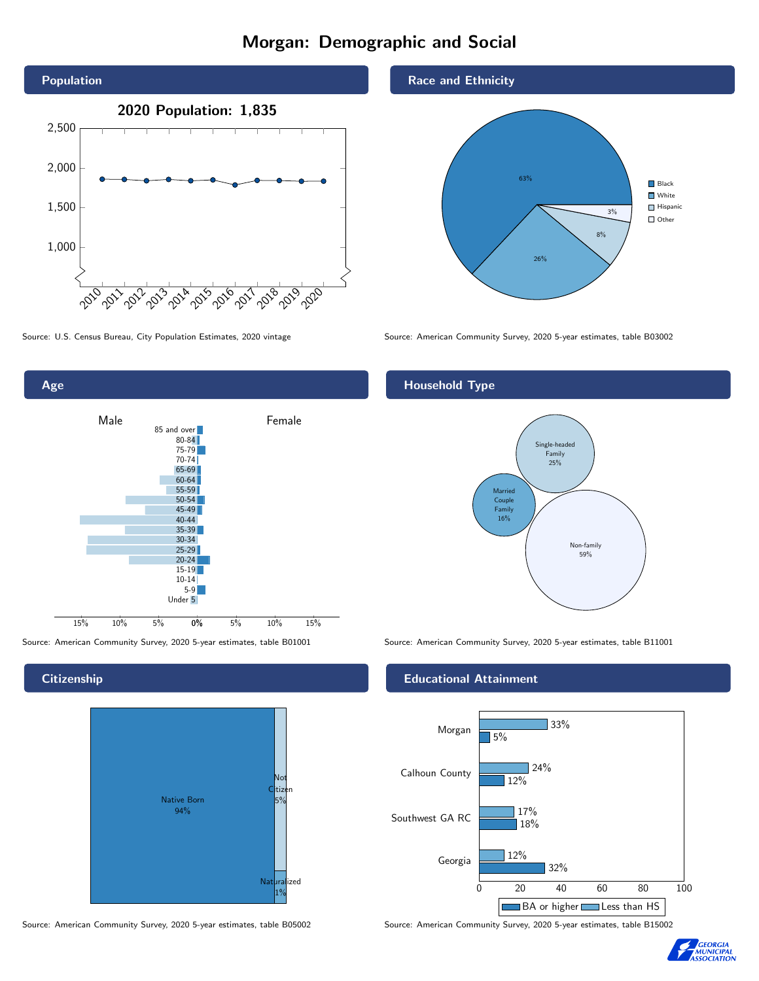# Morgan: Demographic and Social





## **Citizenship**



Source: American Community Survey, 2020 5-year estimates, table B05002 Source: American Community Survey, 2020 5-year estimates, table B15002





Source: U.S. Census Bureau, City Population Estimates, 2020 vintage Source: American Community Survey, 2020 5-year estimates, table B03002

## Household Type



Source: American Community Survey, 2020 5-year estimates, table B01001 Source: American Community Survey, 2020 5-year estimates, table B11001

#### Educational Attainment



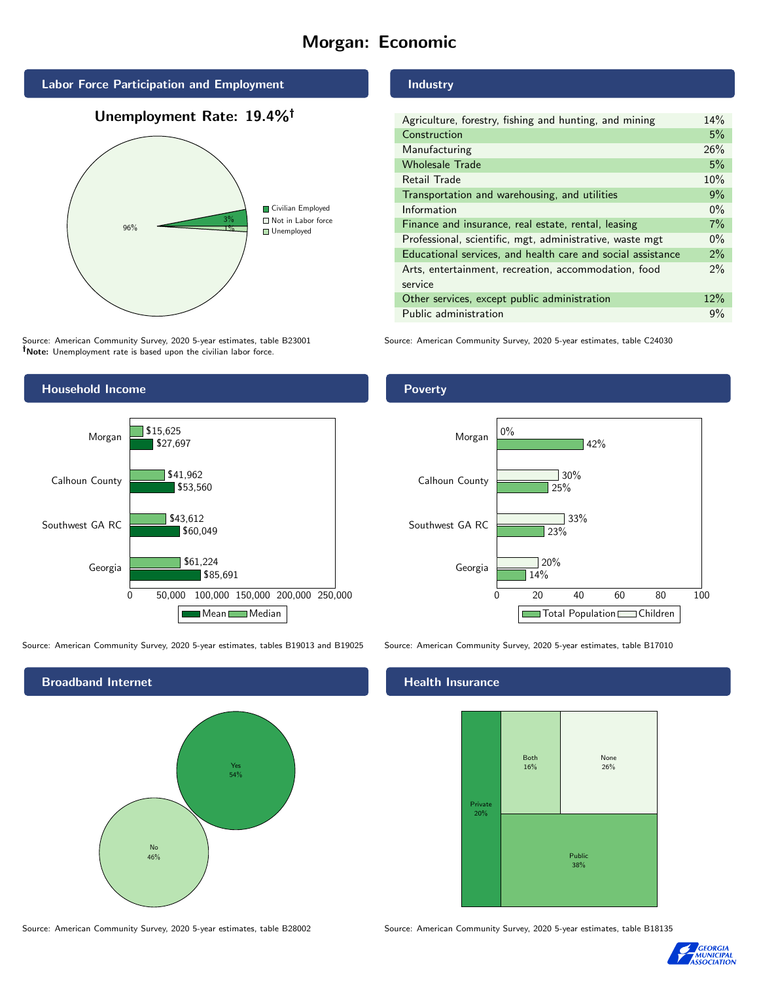# Morgan: Economic



# Unemployment Rate: 19.4%



Source: American Community Survey, 2020 5-year estimates, table B23001 Note: Unemployment rate is based upon the civilian labor force.

## Household Income 0 50,000 100,000 150,000 200,000 250,000 Georgia Southwest GA RC Calhoun County Morgan \$85,691 \$60,049 \$53,560 \$27,697 \$61,224 \$43,612 \$41,962 \$15,625 Mean Median

Source: American Community Survey, 2020 5-year estimates, tables B19013 and B19025 Source: American Community Survey, 2020 5-year estimates, table B17010

Broadband Internet No 46% Yes 54%

Industry

| Agriculture, forestry, fishing and hunting, and mining      | 14%   |
|-------------------------------------------------------------|-------|
| Construction                                                | 5%    |
| Manufacturing                                               | 26%   |
| <b>Wholesale Trade</b>                                      | 5%    |
| Retail Trade                                                | 10%   |
| Transportation and warehousing, and utilities               | 9%    |
| Information                                                 | $0\%$ |
| Finance and insurance, real estate, rental, leasing         | 7%    |
| Professional, scientific, mgt, administrative, waste mgt    | $0\%$ |
| Educational services, and health care and social assistance | $2\%$ |
| Arts, entertainment, recreation, accommodation, food        | $2\%$ |
| service                                                     |       |
| Other services, except public administration                | 12%   |
| Public administration                                       | 9%    |
|                                                             |       |

Source: American Community Survey, 2020 5-year estimates, table C24030

## Poverty



#### Health Insurance



Source: American Community Survey, 2020 5-year estimates, table B28002 Source: American Community Survey, 2020 5-year estimates, table B18135